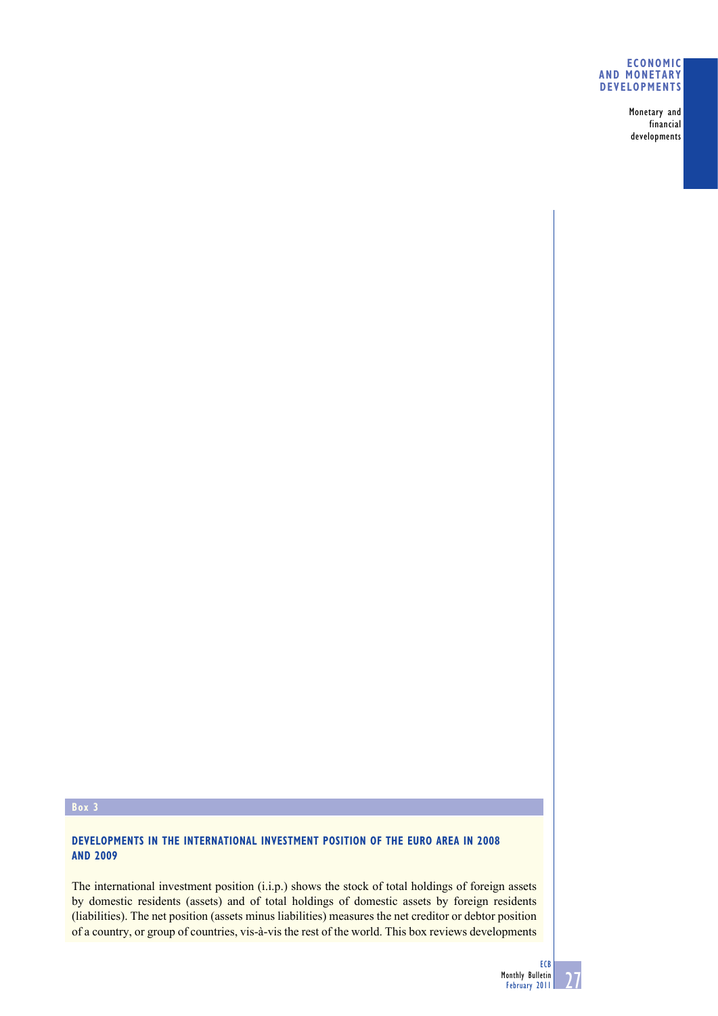## **ECONOMIC AND MONETARY DEVELOPMENTS**

Monetary and financial developments

## **Box 3**

# **DEVELOPMENTS IN THE INTERNATIONAL INVESTMENT POSITION OF THE EURO AREA IN 2008 AND 2009**

The international investment position (i.i.p.) shows the stock of total holdings of foreign assets by domestic residents (assets) and of total holdings of domestic assets by foreign residents (liabilities). The net position (assets minus liabilities) measures the net creditor or debtor position of a country, or group of countries, vis-à-vis the rest of the world. This box reviews developments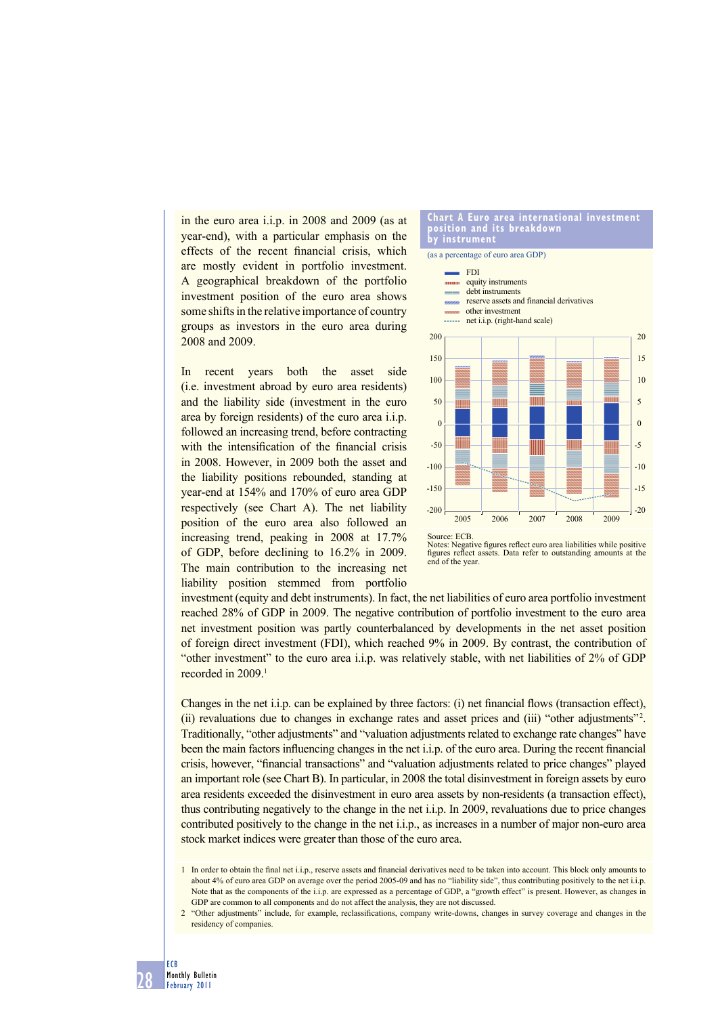in the euro area i.i.p. in 2008 and 2009 (as at year-end), with a particular emphasis on the effects of the recent financial crisis, which are mostly evident in portfolio investment. A geographical breakdown of the portfolio investment position of the euro area shows some shifts in the relative importance of country groups as investors in the euro area during 2008 and 2009.

In recent years both the asset side (i.e. investment abroad by euro area residents) and the liability side (investment in the euro area by foreign residents) of the euro area i.i.p. followed an increasing trend, before contracting with the intensification of the financial crisis in 2008. However, in 2009 both the asset and the liability positions rebounded, standing at year-end at 154% and 170% of euro area GDP respectively (see Chart A). The net liability position of the euro area also followed an increasing trend, peaking in 2008 at 17.7% of GDP, before declining to 16.2% in 2009. The main contribution to the increasing net liability position stemmed from portfolio





investment (equity and debt instruments). In fact, the net liabilities of euro area portfolio investment reached 28% of GDP in 2009. The negative contribution of portfolio investment to the euro area net investment position was partly counterbalanced by developments in the net asset position of foreign direct investment (FDI), which reached 9% in 2009. By contrast, the contribution of "other investment" to the euro area i.i.p. was relatively stable, with net liabilities of 2% of GDP recorded in 2009.<sup>1</sup>

Changes in the net i.i.p. can be explained by three factors: (i) net financial flows (transaction effect), (ii) revaluations due to changes in exchange rates and asset prices and (iii) "other adjustments"<sup>2</sup>. Traditionally, "other adjustments" and "valuation adjustments related to exchange rate changes" have been the main factors influencing changes in the net i.i.p. of the euro area. During the recent financial crisis, however, "financial transactions" and "valuation adjustments related to price changes" played an important role (see Chart B). In particular, in 2008 the total disinvestment in foreign assets by euro area residents exceeded the disinvestment in euro area assets by non-residents (a transaction effect), thus contributing negatively to the change in the net i.i.p. In 2009, revaluations due to price changes contributed positively to the change in the net i.i.p., as increases in a number of major non-euro area stock market indices were greater than those of the euro area.

<sup>2 &</sup>quot;Other adjustments" include, for example, reclassifications, company write-downs, changes in survey coverage and changes in the residency of companies.



<sup>1</sup> In order to obtain the final net i.i.p., reserve assets and financial derivatives need to be taken into account. This block only amounts to about 4% of euro area GDP on average over the period 2005-09 and has no "liability side", thus contributing positively to the net i.i.p. Note that as the components of the i.i.p. are expressed as a percentage of GDP, a "growth effect" is present. However, as changes in GDP are common to all components and do not affect the analysis, they are not discussed.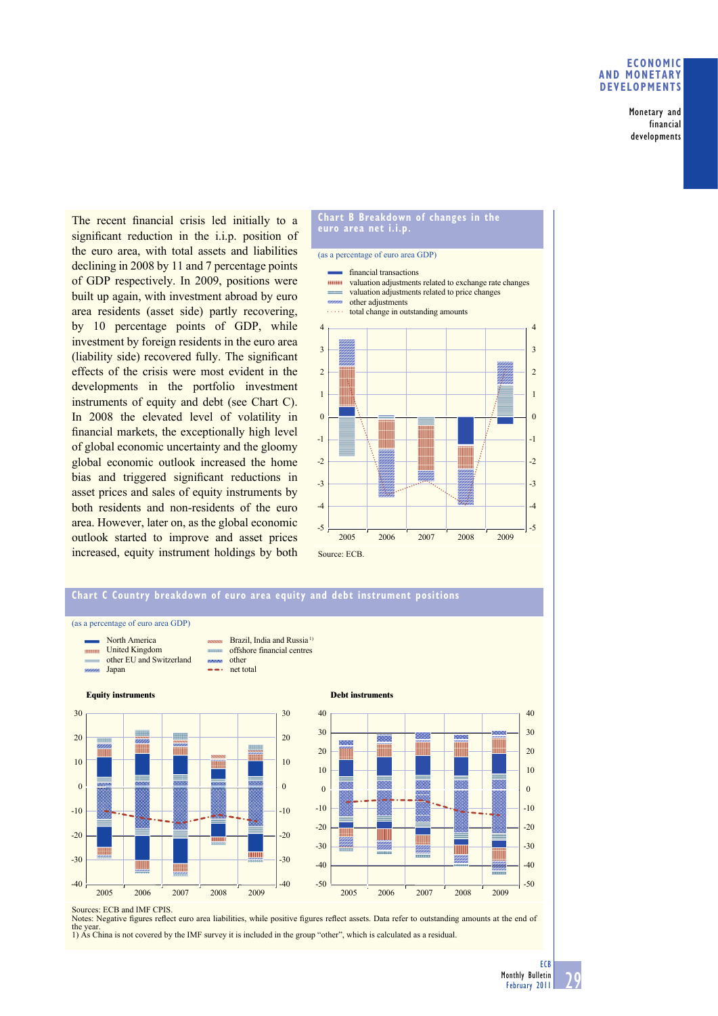## **ECONOMIC AND MONETARY DEVELOPMENTS**

Monetary and financial developments

The recent financial crisis led initially to a significant reduction in the i.i.p. position of the euro area, with total assets and liabilities declining in 2008 by 11 and 7 percentage points of GDP respectively. In 2009, positions were built up again, with investment abroad by euro area residents (asset side) partly recovering, by 10 percentage points of GDP, while investment by foreign residents in the euro area (liability side) recovered fully. The significant effects of the crisis were most evident in the developments in the portfolio investment instruments of equity and debt (see Chart C). In 2008 the elevated level of volatility in financial markets, the exceptionally high level of global economic uncertainty and the gloomy global economic outlook increased the home bias and triggered significant reductions in asset prices and sales of equity instruments by both residents and non-residents of the euro area. However, later on, as the global economic outlook started to improve and asset prices increased, equity instrument holdings by both

#### **Chart B Breakdown of changes in the euro area net i.i.p.**

#### (as a percentage of euro area GDP)









Sources: ECB and IMF CPIS.<br>Notes: Negative figures reflect euro area liabilities, while positive figures reflect assets. Data refer to outstanding amounts at the end of the year. 1) As China is not covered by the IMF survey it is included in the group "other", which is calculated as a residual.